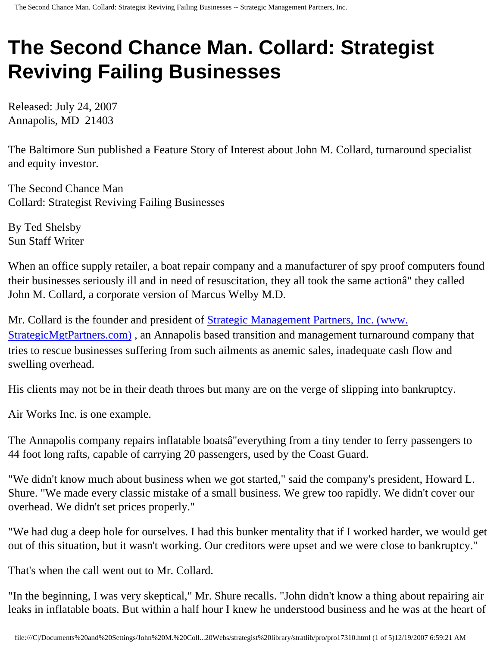## **The Second Chance Man. Collard: Strategist Reviving Failing Businesses**

Released: July 24, 2007 Annapolis, MD 21403

The Baltimore Sun published a Feature Story of Interest about John M. Collard, turnaround specialist and equity investor.

The Second Chance Man Collard: Strategist Reviving Failing Businesses

By Ted Shelsby Sun Staff Writer

When an office supply retailer, a boat repair company and a manufacturer of spy proof computers found their businesses seriously ill and in need of resuscitation, they all took the same actionâ€" they called John M. Collard, a corporate version of Marcus Welby M.D.

Mr. Collard is the founder and president of [Strategic Management Partners, Inc. \(www.](http://www.strategicmgtpartners.com/) [StrategicMgtPartners.com\)](http://www.strategicmgtpartners.com/), an Annapolis based transition and management turnaround company that tries to rescue businesses suffering from such ailments as anemic sales, inadequate cash flow and swelling overhead.

His clients may not be in their death throes but many are on the verge of slipping into bankruptcy.

Air Works Inc. is one example.

The Annapolis company repairs inflatable boatsâ€"everything from a tiny tender to ferry passengers to 44 foot long rafts, capable of carrying 20 passengers, used by the Coast Guard.

"We didn't know much about business when we got started," said the company's president, Howard L. Shure. "We made every classic mistake of a small business. We grew too rapidly. We didn't cover our overhead. We didn't set prices properly."

"We had dug a deep hole for ourselves. I had this bunker mentality that if I worked harder, we would get out of this situation, but it wasn't working. Our creditors were upset and we were close to bankruptcy."

That's when the call went out to Mr. Collard.

"In the beginning, I was very skeptical," Mr. Shure recalls. "John didn't know a thing about repairing air leaks in inflatable boats. But within a half hour I knew he understood business and he was at the heart of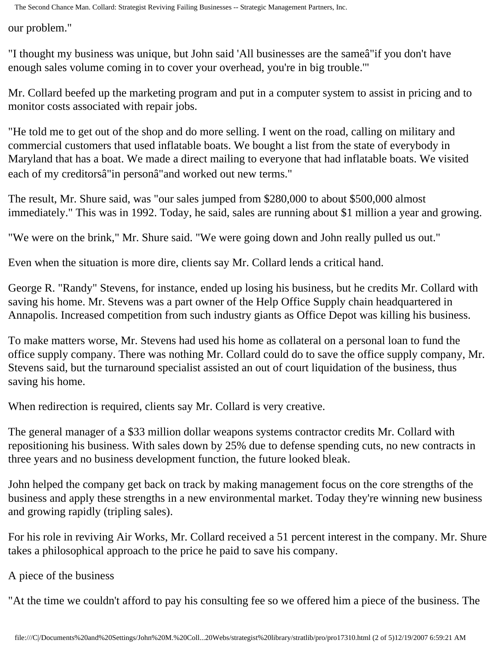The Second Chance Man. Collard: Strategist Reviving Failing Businesses -- Strategic Management Partners, Inc.

our problem."

"I thought my business was unique, but John said 'All businesses are the sameâ€"if you don't have enough sales volume coming in to cover your overhead, you're in big trouble.'"

Mr. Collard beefed up the marketing program and put in a computer system to assist in pricing and to monitor costs associated with repair jobs.

"He told me to get out of the shop and do more selling. I went on the road, calling on military and commercial customers that used inflatable boats. We bought a list from the state of everybody in Maryland that has a boat. We made a direct mailing to everyone that had inflatable boats. We visited each of my creditorsâ€"in personâ€"and worked out new terms."

The result, Mr. Shure said, was "our sales jumped from \$280,000 to about \$500,000 almost immediately." This was in 1992. Today, he said, sales are running about \$1 million a year and growing.

"We were on the brink," Mr. Shure said. "We were going down and John really pulled us out."

Even when the situation is more dire, clients say Mr. Collard lends a critical hand.

George R. "Randy" Stevens, for instance, ended up losing his business, but he credits Mr. Collard with saving his home. Mr. Stevens was a part owner of the Help Office Supply chain headquartered in Annapolis. Increased competition from such industry giants as Office Depot was killing his business.

To make matters worse, Mr. Stevens had used his home as collateral on a personal loan to fund the office supply company. There was nothing Mr. Collard could do to save the office supply company, Mr. Stevens said, but the turnaround specialist assisted an out of court liquidation of the business, thus saving his home.

When redirection is required, clients say Mr. Collard is very creative.

The general manager of a \$33 million dollar weapons systems contractor credits Mr. Collard with repositioning his business. With sales down by 25% due to defense spending cuts, no new contracts in three years and no business development function, the future looked bleak.

John helped the company get back on track by making management focus on the core strengths of the business and apply these strengths in a new environmental market. Today they're winning new business and growing rapidly (tripling sales).

For his role in reviving Air Works, Mr. Collard received a 51 percent interest in the company. Mr. Shure takes a philosophical approach to the price he paid to save his company.

A piece of the business

"At the time we couldn't afford to pay his consulting fee so we offered him a piece of the business. The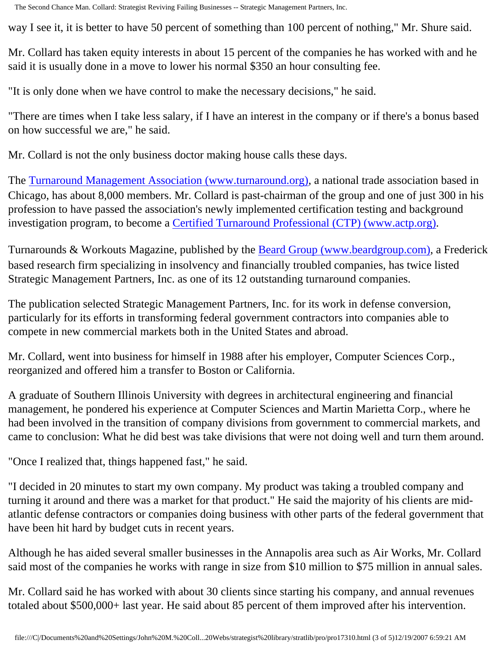The Second Chance Man. Collard: Strategist Reviving Failing Businesses -- Strategic Management Partners, Inc.

way I see it, it is better to have 50 percent of something than 100 percent of nothing," Mr. Shure said.

Mr. Collard has taken equity interests in about 15 percent of the companies he has worked with and he said it is usually done in a move to lower his normal \$350 an hour consulting fee.

"It is only done when we have control to make the necessary decisions," he said.

"There are times when I take less salary, if I have an interest in the company or if there's a bonus based on how successful we are," he said.

Mr. Collard is not the only business doctor making house calls these days.

The [Turnaround Management Association \(www.turnaround.org\),](http://www.turnaround.org/) a national trade association based in Chicago, has about 8,000 members. Mr. Collard is past-chairman of the group and one of just 300 in his profession to have passed the association's newly implemented certification testing and background investigation program, to become a [Certified Turnaround Professional \(CTP\) \(www.actp.org\)](http://www.actp.org/).

Turnarounds & Workouts Magazine, published by the [Beard Group \(www.beardgroup.com\)](http://www.beardgroup.com/), a Frederick based research firm specializing in insolvency and financially troubled companies, has twice listed Strategic Management Partners, Inc. as one of its 12 outstanding turnaround companies.

The publication selected Strategic Management Partners, Inc. for its work in defense conversion, particularly for its efforts in transforming federal government contractors into companies able to compete in new commercial markets both in the United States and abroad.

Mr. Collard, went into business for himself in 1988 after his employer, Computer Sciences Corp., reorganized and offered him a transfer to Boston or California.

A graduate of Southern Illinois University with degrees in architectural engineering and financial management, he pondered his experience at Computer Sciences and Martin Marietta Corp., where he had been involved in the transition of company divisions from government to commercial markets, and came to conclusion: What he did best was take divisions that were not doing well and turn them around.

"Once I realized that, things happened fast," he said.

"I decided in 20 minutes to start my own company. My product was taking a troubled company and turning it around and there was a market for that product." He said the majority of his clients are midatlantic defense contractors or companies doing business with other parts of the federal government that have been hit hard by budget cuts in recent years.

Although he has aided several smaller businesses in the Annapolis area such as Air Works, Mr. Collard said most of the companies he works with range in size from \$10 million to \$75 million in annual sales.

Mr. Collard said he has worked with about 30 clients since starting his company, and annual revenues totaled about \$500,000+ last year. He said about 85 percent of them improved after his intervention.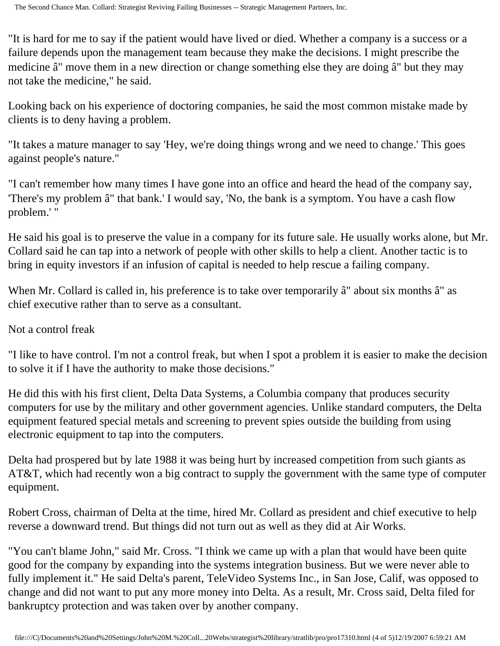"It is hard for me to say if the patient would have lived or died. Whether a company is a success or a failure depends upon the management team because they make the decisions. I might prescribe the medicine â€" move them in a new direction or change something else they are doing â€" but they may not take the medicine," he said.

Looking back on his experience of doctoring companies, he said the most common mistake made by clients is to deny having a problem.

"It takes a mature manager to say 'Hey, we're doing things wrong and we need to change.' This goes against people's nature."

"I can't remember how many times I have gone into an office and heard the head of the company say, 'There's my problem â€" that bank.' I would say, 'No, the bank is a symptom. You have a cash flow problem.' "

He said his goal is to preserve the value in a company for its future sale. He usually works alone, but Mr. Collard said he can tap into a network of people with other skills to help a client. Another tactic is to bring in equity investors if an infusion of capital is needed to help rescue a failing company.

When Mr. Collard is called in, his preference is to take over temporarily  $\hat{a} \in \mathbb{C}^n$  about six months  $\hat{a} \in \mathbb{C}^n$  as chief executive rather than to serve as a consultant.

Not a control freak

"I like to have control. I'm not a control freak, but when I spot a problem it is easier to make the decision to solve it if I have the authority to make those decisions."

He did this with his first client, Delta Data Systems, a Columbia company that produces security computers for use by the military and other government agencies. Unlike standard computers, the Delta equipment featured special metals and screening to prevent spies outside the building from using electronic equipment to tap into the computers.

Delta had prospered but by late 1988 it was being hurt by increased competition from such giants as AT&T, which had recently won a big contract to supply the government with the same type of computer equipment.

Robert Cross, chairman of Delta at the time, hired Mr. Collard as president and chief executive to help reverse a downward trend. But things did not turn out as well as they did at Air Works.

"You can't blame John," said Mr. Cross. "I think we came up with a plan that would have been quite good for the company by expanding into the systems integration business. But we were never able to fully implement it." He said Delta's parent, TeleVideo Systems Inc., in San Jose, Calif, was opposed to change and did not want to put any more money into Delta. As a result, Mr. Cross said, Delta filed for bankruptcy protection and was taken over by another company.